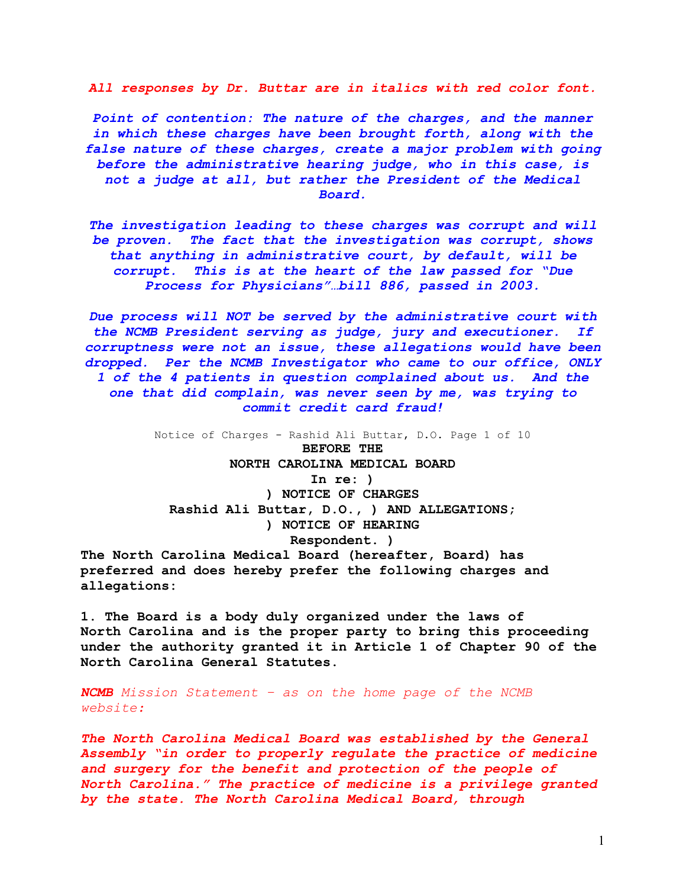*All responses by Dr. Buttar are in italics with red color font.*

*Point of contention: The nature of the charges, and the manner in which these charges have been brought forth, along with the false nature of these charges, create a major problem with going before the administrative hearing judge, who in this case, is not a judge at all, but rather the President of the Medical Board.*

*The investigation leading to these charges was corrupt and will be proven. The fact that the investigation was corrupt, shows that anything in administrative court, by default, will be corrupt. This is at the heart of the law passed for "Due Process for Physicians"…bill 886, passed in 2003.*

*Due process will NOT be served by the administrative court with the NCMB President serving as judge, jury and executioner. If corruptness were not an issue, these allegations would have been dropped. Per the NCMB Investigator who came to our office, ONLY 1 of the 4 patients in question complained about us. And the one that did complain, was never seen by me, was trying to commit credit card fraud!*

Notice of Charges - Rashid Ali Buttar, D.O. Page 1 of 10 **BEFORE THE NORTH CAROLINA MEDICAL BOARD In re: ) ) NOTICE OF CHARGES Rashid Ali Buttar, D.O., ) AND ALLEGATIONS; ) NOTICE OF HEARING Respondent. ) The North Carolina Medical Board (hereafter, Board) has**

**preferred and does hereby prefer the following charges and allegations:**

**1. The Board is a body duly organized under the laws of North Carolina and is the proper party to bring this proceeding under the authority granted it in Article 1 of Chapter 90 of the North Carolina General Statutes.**

*NCMB Mission Statement – as on the home page of the NCMB website:*

*The North Carolina Medical Board was established by the General Assembly "in order to properly regulate the practice of medicine and surgery for the benefit and protection of the people of North Carolina." The practice of medicine is a privilege granted by the state. The North Carolina Medical Board, through*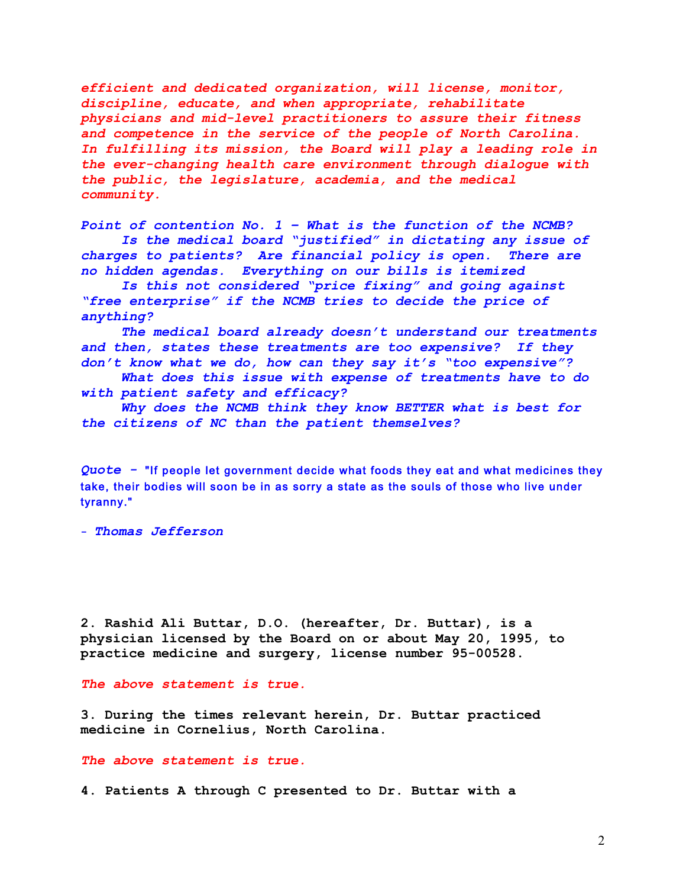*efficient and dedicated organization, will license, monitor, discipline, educate, and when appropriate, rehabilitate physicians and mid-level practitioners to assure their fitness and competence in the service of the people of North Carolina. In fulfilling its mission, the Board will play a leading role in the ever-changing health care environment through dialogue with the public, the legislature, academia, and the medical community.*

*Point of contention No. 1 – What is the function of the NCMB? Is the medical board "justified" in dictating any issue of charges to patients? Are financial policy is open. There are no hidden agendas. Everything on our bills is itemized*

*Is this not considered "price fixing" and going against "free enterprise" if the NCMB tries to decide the price of anything?*

*The medical board already doesn't understand our treatments and then, states these treatments are too expensive? If they don't know what we do, how can they say it's "too expensive"?*

*What does this issue with expense of treatments have to do with patient safety and efficacy?*

*Why does the NCMB think they know BETTER what is best for the citizens of NC than the patient themselves?*

*Quote -* "If people let government decide what foods they eat and what medicines they take, their bodies will soon be in as sorry a state as the souls of those who live under tyranny."

**-** *Thomas Jefferson*

**2. Rashid Ali Buttar, D.O. (hereafter, Dr. Buttar), is a physician licensed by the Board on or about May 20, 1995, to practice medicine and surgery, license number 95-00528.**

*The above statement is true.*

**3. During the times relevant herein, Dr. Buttar practiced medicine in Cornelius, North Carolina.**

*The above statement is true.*

**4. Patients A through C presented to Dr. Buttar with a**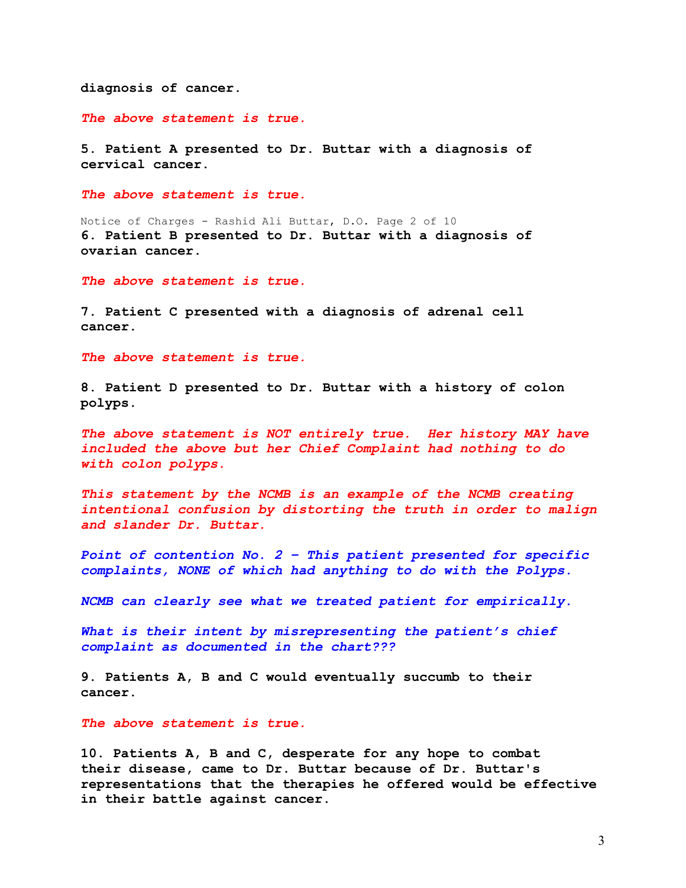**diagnosis of cancer.**

*The above statement is true.*

**5. Patient A presented to Dr. Buttar with a diagnosis of cervical cancer.**

*The above statement is true.*

Notice of Charges - Rashid Ali Buttar, D.O. Page 2 of 10 **6. Patient B presented to Dr. Buttar with a diagnosis of ovarian cancer.**

*The above statement is true.*

**7. Patient C presented with a diagnosis of adrenal cell cancer.**

*The above statement is true.*

**8. Patient D presented to Dr. Buttar with a history of colon polyps.**

*The above statement is NOT entirely true. Her history MAY have included the above but her Chief Complaint had nothing to do with colon polyps.* 

*This statement by the NCMB is an example of the NCMB creating intentional confusion by distorting the truth in order to malign and slander Dr. Buttar.*

*Point of contention No. 2 – This patient presented for specific complaints, NONE of which had anything to do with the Polyps.* 

*NCMB can clearly see what we treated patient for empirically.*

*What is their intent by misrepresenting the patient's chief complaint as documented in the chart???*

**9. Patients A, B and C would eventually succumb to their cancer.**

*The above statement is true.*

**10. Patients A, B and C, desperate for any hope to combat their disease, came to Dr. Buttar because of Dr. Buttar's representations that the therapies he offered would be effective in their battle against cancer.**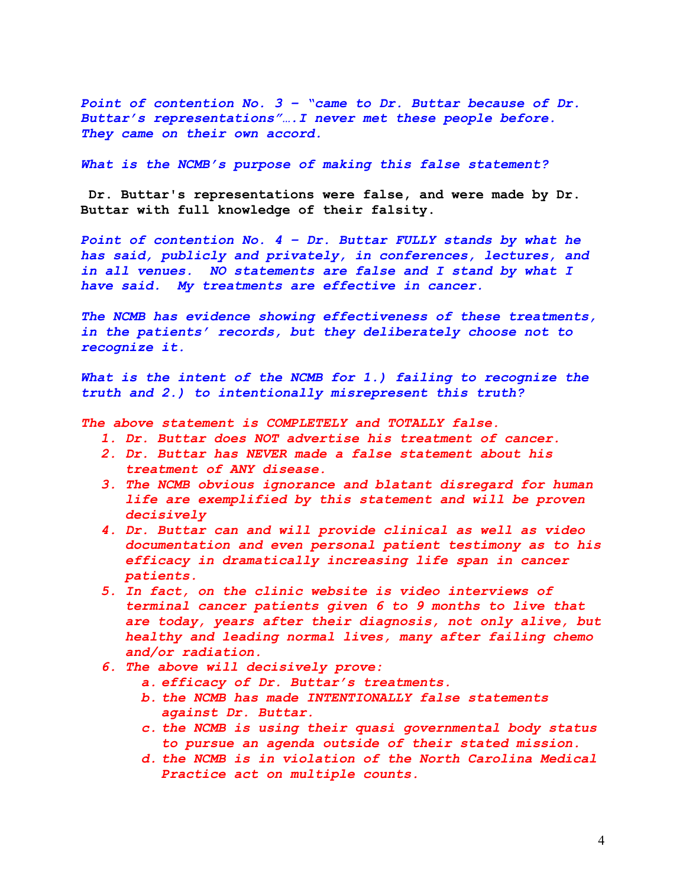*Point of contention No. 3 – "came to Dr. Buttar because of Dr. Buttar's representations"….I never met these people before. They came on their own accord.* 

*What is the NCMB's purpose of making this false statement?*

**Dr. Buttar's representations were false, and were made by Dr. Buttar with full knowledge of their falsity.**

Point of contention No. 4 - Dr. Buttar FULLY stands by what he *has said, publicly and privately, in conferences, lectures, and in all venues. NO statements are false and I stand by what I have said. My treatments are effective in cancer.*

*The NCMB has evidence showing effectiveness of these treatments, in the patients' records, but they deliberately choose not to recognize it.*

What is the intent of the NCMB for 1.) failing to recognize the *truth and 2.) to intentionally misrepresent this truth?*

- *1. Dr. Buttar does NOT advertise his treatment of cancer.*
- *2. Dr. Buttar has NEVER made a false statement about his treatment of ANY disease.*
- *3. The NCMB obvious ignorance and blatant disregard for human life are exemplified by this statement and will be proven decisively*
- *4. Dr. Buttar can and will provide clinical as well as video documentation and even personal patient testimony as to his efficacy in dramatically increasing life span in cancer patients.*
- *5. In fact, on the clinic website is video interviews of terminal cancer patients given 6 to 9 months to live that are today, years after their diagnosis, not only alive, but healthy and leading normal lives, many after failing chemo and/or radiation.*
- *6. The above will decisively prove:*
	- *a. efficacy of Dr. Buttar's treatments.*
	- *b. the NCMB has made INTENTIONALLY false statements against Dr. Buttar.*
	- *c. the NCMB is using their quasi governmental body status to pursue an agenda outside of their stated mission.*
	- *d. the NCMB is in violation of the North Carolina Medical Practice act on multiple counts.*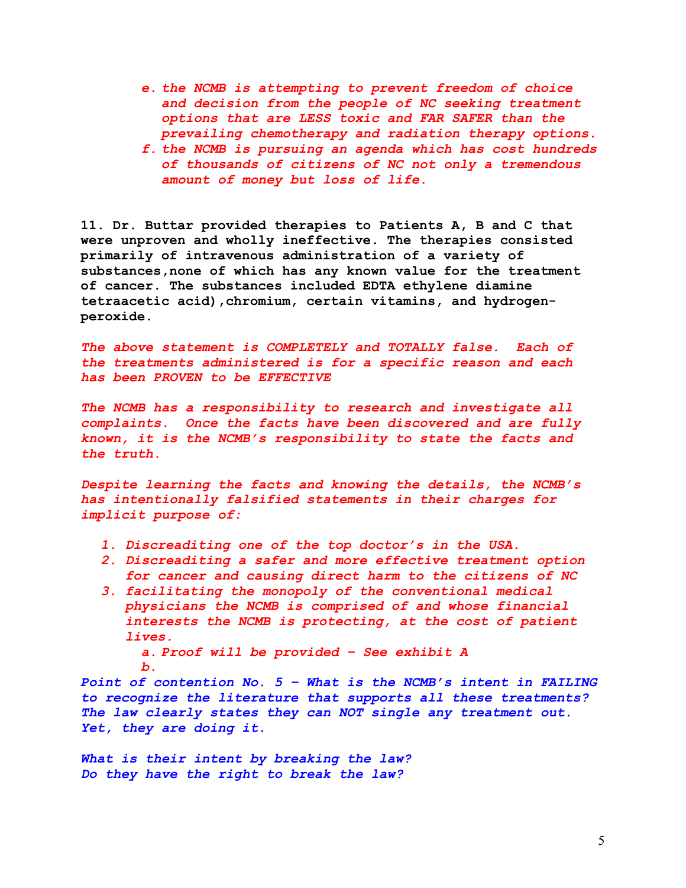- *e. the NCMB is attempting to prevent freedom of choice and decision from the people of NC seeking treatment options that are LESS toxic and FAR SAFER than the prevailing chemotherapy and radiation therapy options.*
- *f. the NCMB is pursuing an agenda which has cost hundreds of thousands of citizens of NC not only a tremendous amount of money but loss of life.*

**11. Dr. Buttar provided therapies to Patients A, B and C that were unproven and wholly ineffective. The therapies consisted primarily of intravenous administration of a variety of substances,none of which has any known value for the treatment of cancer. The substances included EDTA ethylene diamine tetraacetic acid),chromium, certain vitamins, and hydrogenperoxide.**

*The above statement is COMPLETELY and TOTALLY false. Each of the treatments administered is for a specific reason and each has been PROVEN to be EFFECTIVE*

*The NCMB has a responsibility to research and investigate all complaints. Once the facts have been discovered and are fully known, it is the NCMB's responsibility to state the facts and the truth.*

*Despite learning the facts and knowing the details, the NCMB's has intentionally falsified statements in their charges for implicit purpose of:*

- *1. Discreaditing one of the top doctor's in the USA.*
- *2. Discreaditing a safer and more effective treatment option for cancer and causing direct harm to the citizens of NC*
- *3. facilitating the monopoly of the conventional medical physicians the NCMB is comprised of and whose financial interests the NCMB is protecting, at the cost of patient lives.*

*a. Proof will be provided – See exhibit A b.*

*Point of contention No. 5 – What is the NCMB's intent in FAILING to recognize the literature that supports all these treatments? The law clearly states they can NOT single any treatment out. Yet, they are doing it.* 

*What is their intent by breaking the law? Do they have the right to break the law?*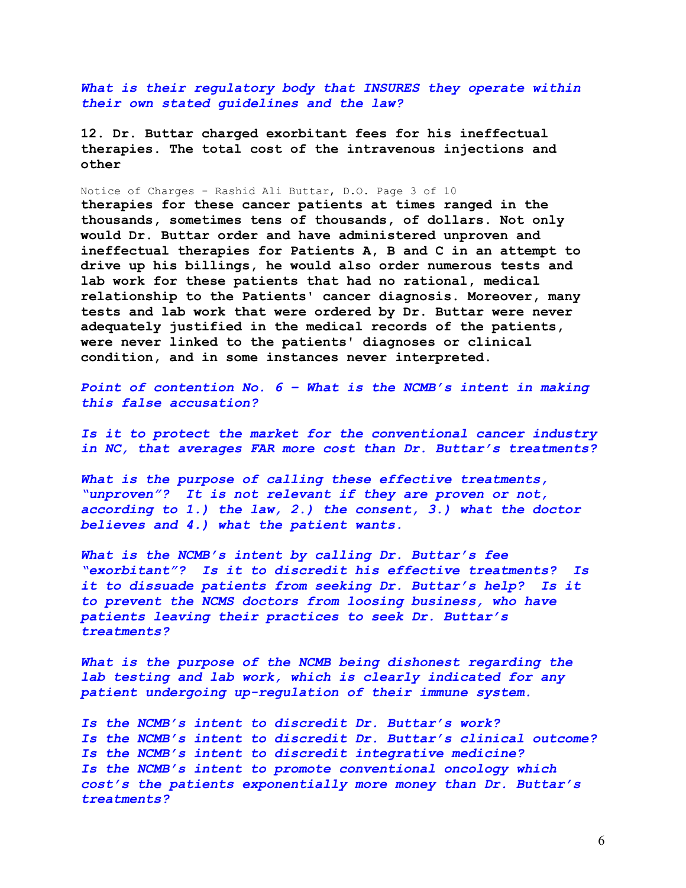*What is their regulatory body that INSURES they operate within their own stated guidelines and the law?*

**12. Dr. Buttar charged exorbitant fees for his ineffectual therapies. The total cost of the intravenous injections and other**

Notice of Charges - Rashid Ali Buttar, D.O. Page 3 of 10

**therapies for these cancer patients at times ranged in the thousands, sometimes tens of thousands, of dollars. Not only would Dr. Buttar order and have administered unproven and ineffectual therapies for Patients A, B and C in an attempt to drive up his billings, he would also order numerous tests and lab work for these patients that had no rational, medical relationship to the Patients' cancer diagnosis. Moreover, many tests and lab work that were ordered by Dr. Buttar were never adequately justified in the medical records of the patients, were never linked to the patients' diagnoses or clinical condition, and in some instances never interpreted.**

*Point of contention No. 6 – What is the NCMB's intent in making this false accusation?*

*Is it to protect the market for the conventional cancer industry in NC, that averages FAR more cost than Dr. Buttar's treatments?*

*What is the purpose of calling these effective treatments, "unproven"? It is not relevant if they are proven or not, according to 1.) the law, 2.) the consent, 3.) what the doctor believes and 4.) what the patient wants.*

*What is the NCMB's intent by calling Dr. Buttar's fee "exorbitant"? Is it to discredit his effective treatments? Is it to dissuade patients from seeking Dr. Buttar's help? Is it to prevent the NCMS doctors from loosing business, who have patients leaving their practices to seek Dr. Buttar's treatments?*

What is the purpose of the NCMB being dishonest regarding the *lab testing and lab work, which is clearly indicated for any patient undergoing up-regulation of their immune system.* 

*Is the NCMB's intent to discredit Dr. Buttar's work? Is the NCMB's intent to discredit Dr. Buttar's clinical outcome? Is the NCMB's intent to discredit integrative medicine? Is the NCMB's intent to promote conventional oncology which cost's the patients exponentially more money than Dr. Buttar's treatments?*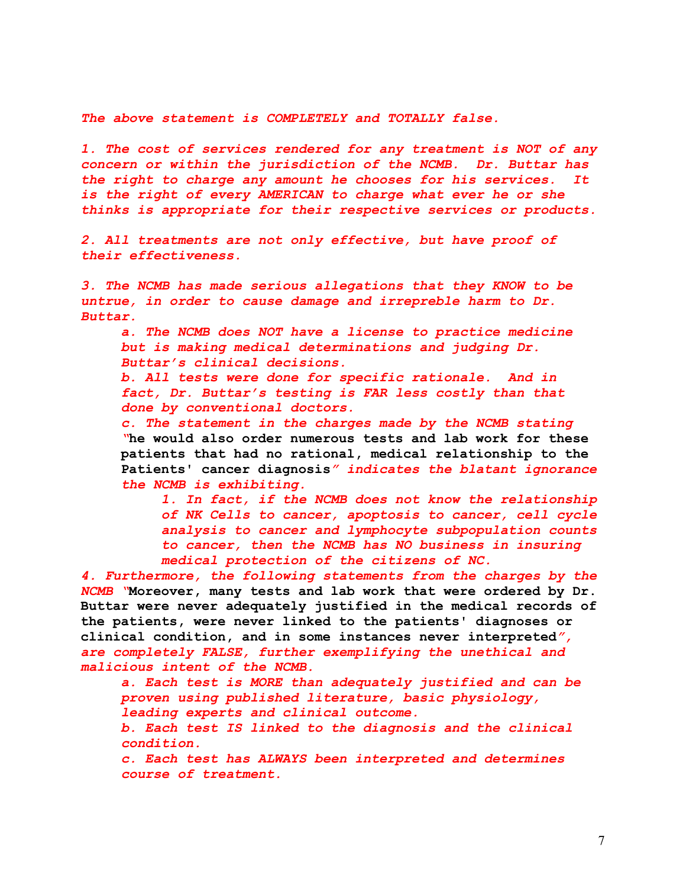*The above statement is COMPLETELY and TOTALLY false.* 

*1. The cost of services rendered for any treatment is NOT of any concern or within the jurisdiction of the NCMB. Dr. Buttar has the right to charge any amount he chooses for his services. It is the right of every AMERICAN to charge what ever he or she thinks is appropriate for their respective services or products.*

*2. All treatments are not only effective, but have proof of their effectiveness.*

*3. The NCMB has made serious allegations that they KNOW to be untrue, in order to cause damage and irrepreble harm to Dr. Buttar.*

*a. The NCMB does NOT have a license to practice medicine but is making medical determinations and judging Dr. Buttar's clinical decisions.*

*b. All tests were done for specific rationale. And in fact, Dr. Buttar's testing is FAR less costly than that done by conventional doctors.*

*c. The statement in the charges made by the NCMB stating "***he would also order numerous tests and lab work for these patients that had no rational, medical relationship to the Patients' cancer diagnosis***" indicates the blatant ignorance the NCMB is exhibiting.* 

*1. In fact, if the NCMB does not know the relationship of NK Cells to cancer, apoptosis to cancer, cell cycle analysis to cancer and lymphocyte subpopulation counts to cancer, then the NCMB has NO business in insuring medical protection of the citizens of NC.*

*4. Furthermore, the following statements from the charges by the NCMB "***Moreover, many tests and lab work that were ordered by Dr. Buttar were never adequately justified in the medical records of the patients, were never linked to the patients' diagnoses or clinical condition, and in some instances never interpreted***", are completely FALSE, further exemplifying the unethical and malicious intent of the NCMB.*

*a. Each test is MORE than adequately justified and can be proven using published literature, basic physiology, leading experts and clinical outcome.*

*b. Each test IS linked to the diagnosis and the clinical condition.*

*c. Each test has ALWAYS been interpreted and determines course of treatment.*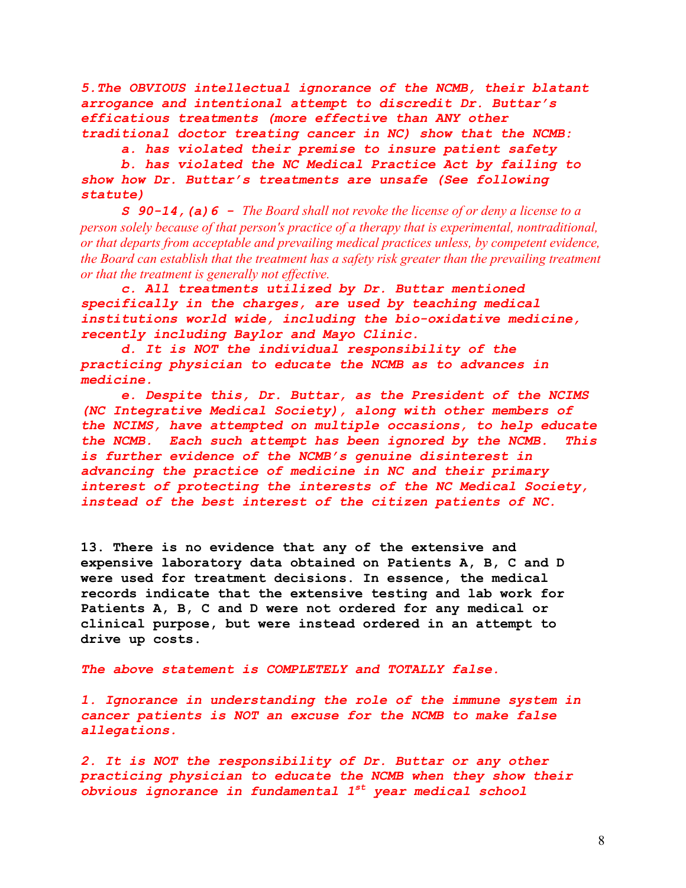*5.The OBVIOUS intellectual ignorance of the NCMB, their blatant arrogance and intentional attempt to discredit Dr. Buttar's efficatious treatments (more effective than ANY other traditional doctor treating cancer in NC) show that the NCMB:*

*a. has violated their premise to insure patient safety*

*b. has violated the NC Medical Practice Act by failing to show how Dr. Buttar's treatments are unsafe (See following statute)*

*S 90-14,(a)6 - The Board shall not revoke the license of or deny a license to a person solely because of that person's practice of a therapy that is experimental, nontraditional, or that departs from acceptable and prevailing medical practices unless, by competent evidence, the Board can establish that the treatment has a safety risk greater than the prevailing treatment or that the treatment is generally not effective.*

*c. All treatments utilized by Dr. Buttar mentioned specifically in the charges, are used by teaching medical institutions world wide, including the bio-oxidative medicine, recently including Baylor and Mayo Clinic.* 

*d. It is NOT the individual responsibility of the practicing physician to educate the NCMB as to advances in medicine.*

*e. Despite this, Dr. Buttar, as the President of the NCIMS (NC Integrative Medical Society), along with other members of the NCIMS, have attempted on multiple occasions, to help educate the NCMB. Each such attempt has been ignored by the NCMB. This is further evidence of the NCMB's genuine disinterest in advancing the practice of medicine in NC and their primary interest of protecting the interests of the NC Medical Society, instead of the best interest of the citizen patients of NC.*

**13. There is no evidence that any of the extensive and expensive laboratory data obtained on Patients A, B, C and D were used for treatment decisions. In essence, the medical records indicate that the extensive testing and lab work for Patients A, B, C and D were not ordered for any medical or clinical purpose, but were instead ordered in an attempt to drive up costs.**

*The above statement is COMPLETELY and TOTALLY false.* 

*1. Ignorance in understanding the role of the immune system in cancer patients is NOT an excuse for the NCMB to make false allegations.*

*2. It is NOT the responsibility of Dr. Buttar or any other practicing physician to educate the NCMB when they show their obvious ignorance in fundamental 1st year medical school*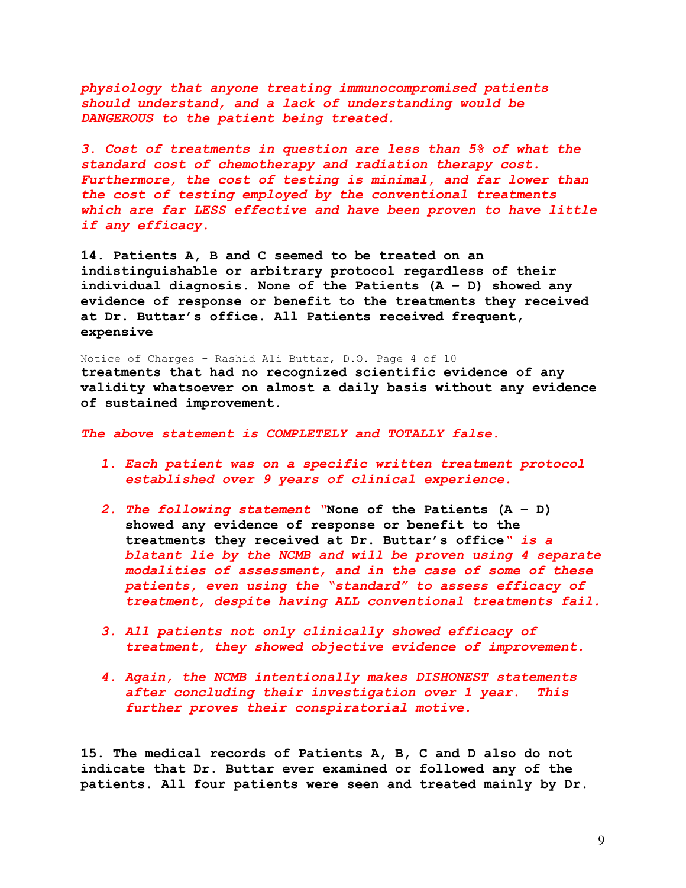*physiology that anyone treating immunocompromised patients should understand, and a lack of understanding would be DANGEROUS to the patient being treated.*

*3. Cost of treatments in question are less than 5% of what the standard cost of chemotherapy and radiation therapy cost. Furthermore, the cost of testing is minimal, and far lower than the cost of testing employed by the conventional treatments which are far LESS effective and have been proven to have little if any efficacy.*

**14. Patients A, B and C seemed to be treated on an indistinguishable or arbitrary protocol regardless of their individual diagnosis. None of the Patients (A – D) showed any evidence of response or benefit to the treatments they received at Dr. Buttar's office. All Patients received frequent, expensive**

Notice of Charges - Rashid Ali Buttar, D.O. Page 4 of 10 **treatments that had no recognized scientific evidence of any validity whatsoever on almost a daily basis without any evidence of sustained improvement.**

*The above statement is COMPLETELY and TOTALLY false.*

- *1. Each patient was on a specific written treatment protocol established over 9 years of clinical experience.*
- *2. The following statement "***None of the Patients (A D) showed any evidence of response or benefit to the treatments they received at Dr. Buttar's office***" is a blatant lie by the NCMB and will be proven using 4 separate modalities of assessment, and in the case of some of these patients, even using the "standard" to assess efficacy of treatment, despite having ALL conventional treatments fail.*
- *3. All patients not only clinically showed efficacy of treatment, they showed objective evidence of improvement.*
- *4. Again, the NCMB intentionally makes DISHONEST statements after concluding their investigation over 1 year. This further proves their conspiratorial motive.*

**15. The medical records of Patients A, B, C and D also do not indicate that Dr. Buttar ever examined or followed any of the patients. All four patients were seen and treated mainly by Dr.**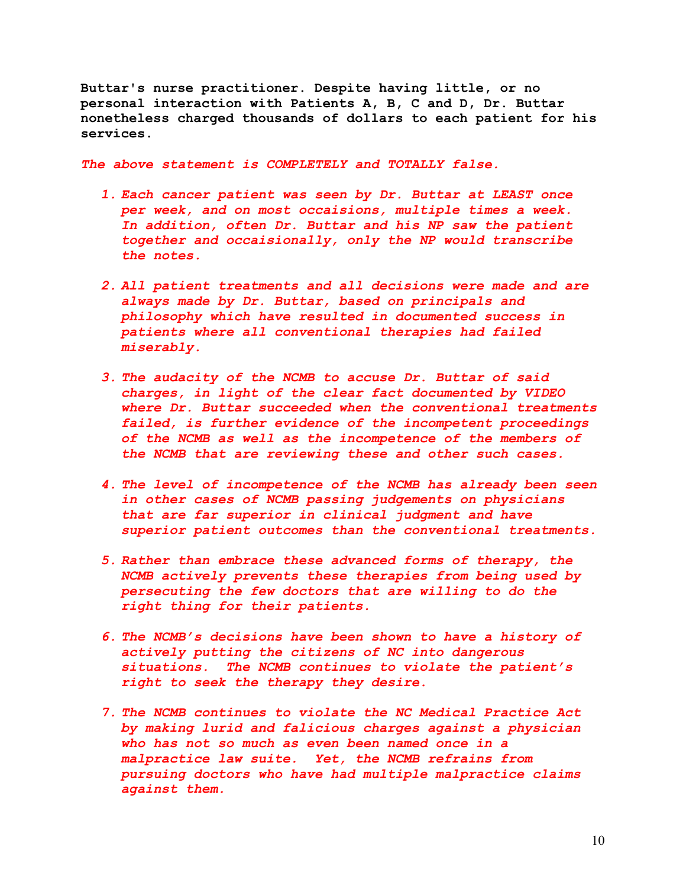**Buttar's nurse practitioner. Despite having little, or no personal interaction with Patients A, B, C and D, Dr. Buttar nonetheless charged thousands of dollars to each patient for his services.**

- *1. Each cancer patient was seen by Dr. Buttar at LEAST once per week, and on most occaisions, multiple times a week. In addition, often Dr. Buttar and his NP saw the patient together and occaisionally, only the NP would transcribe the notes.*
- *2. All patient treatments and all decisions were made and are always made by Dr. Buttar, based on principals and philosophy which have resulted in documented success in patients where all conventional therapies had failed miserably.*
- *3. The audacity of the NCMB to accuse Dr. Buttar of said charges, in light of the clear fact documented by VIDEO where Dr. Buttar succeeded when the conventional treatments failed, is further evidence of the incompetent proceedings of the NCMB as well as the incompetence of the members of the NCMB that are reviewing these and other such cases.*
- *4. The level of incompetence of the NCMB has already been seen in other cases of NCMB passing judgements on physicians that are far superior in clinical judgment and have superior patient outcomes than the conventional treatments.*
- *5. Rather than embrace these advanced forms of therapy, the NCMB actively prevents these therapies from being used by persecuting the few doctors that are willing to do the right thing for their patients.*
- *6. The NCMB's decisions have been shown to have a history of actively putting the citizens of NC into dangerous situations. The NCMB continues to violate the patient's right to seek the therapy they desire.*
- *7. The NCMB continues to violate the NC Medical Practice Act by making lurid and falicious charges against a physician who has not so much as even been named once in a malpractice law suite. Yet, the NCMB refrains from pursuing doctors who have had multiple malpractice claims against them.*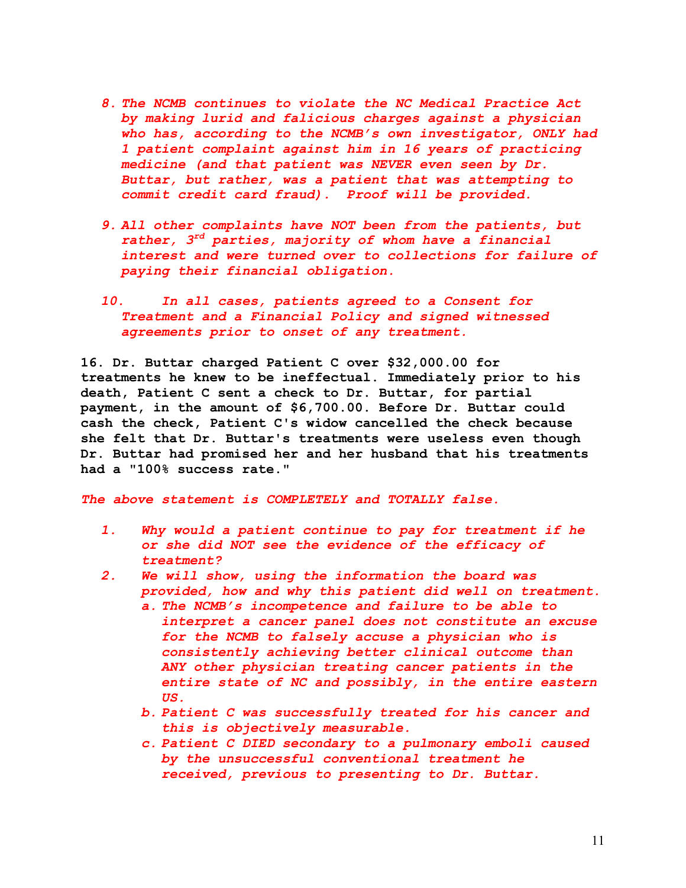- *8. The NCMB continues to violate the NC Medical Practice Act by making lurid and falicious charges against a physician who has, according to the NCMB's own investigator, ONLY had 1 patient complaint against him in 16 years of practicing medicine (and that patient was NEVER even seen by Dr. Buttar, but rather, was a patient that was attempting to commit credit card fraud). Proof will be provided.*
- *9. All other complaints have NOT been from the patients, but rather, 3rd parties, majority of whom have a financial interest and were turned over to collections for failure of paying their financial obligation.*
- *10. In all cases, patients agreed to a Consent for Treatment and a Financial Policy and signed witnessed agreements prior to onset of any treatment.*

**16. Dr. Buttar charged Patient C over \$32,000.00 for treatments he knew to be ineffectual. Immediately prior to his death, Patient C sent a check to Dr. Buttar, for partial payment, in the amount of \$6,700.00. Before Dr. Buttar could cash the check, Patient C's widow cancelled the check because she felt that Dr. Buttar's treatments were useless even though Dr. Buttar had promised her and her husband that his treatments had a "100% success rate."**

- *1. Why would a patient continue to pay for treatment if he or she did NOT see the evidence of the efficacy of treatment?*
- *2. We will show, using the information the board was provided, how and why this patient did well on treatment.*
	- *a. The NCMB's incompetence and failure to be able to interpret a cancer panel does not constitute an excuse for the NCMB to falsely accuse a physician who is consistently achieving better clinical outcome than ANY other physician treating cancer patients in the entire state of NC and possibly, in the entire eastern US.*
	- *b. Patient C was successfully treated for his cancer and this is objectively measurable.*
	- *c. Patient C DIED secondary to a pulmonary emboli caused by the unsuccessful conventional treatment he received, previous to presenting to Dr. Buttar.*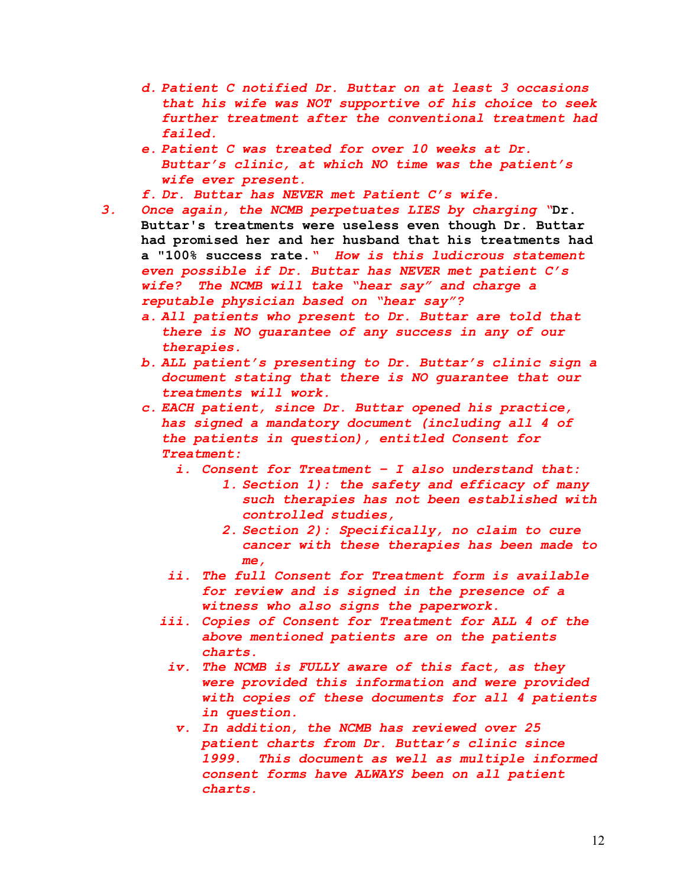- *d. Patient C notified Dr. Buttar on at least 3 occasions that his wife was NOT supportive of his choice to seek further treatment after the conventional treatment had failed.*
- *e. Patient C was treated for over 10 weeks at Dr. Buttar's clinic, at which NO time was the patient's wife ever present.*
- *f. Dr. Buttar has NEVER met Patient C's wife.*
- *3. Once again, the NCMB perpetuates LIES by charging "***Dr. Buttar's treatments were useless even though Dr. Buttar had promised her and her husband that his treatments had a "100% success rate.***" How is this ludicrous statement even possible if Dr. Buttar has NEVER met patient C's wife? The NCMB will take "hear say" and charge a reputable physician based on "hear say"?*
	- *a. All patients who present to Dr. Buttar are told that there is NO guarantee of any success in any of our therapies.*
	- *b. ALL patient's presenting to Dr. Buttar's clinic sign a document stating that there is NO guarantee that our treatments will work.*
	- *c. EACH patient, since Dr. Buttar opened his practice, has signed a mandatory document (including all 4 of the patients in question), entitled Consent for Treatment:*
		- *i. Consent for Treatment I also understand that:*
			- *1. Section 1): the safety and efficacy of many such therapies has not been established with controlled studies,*
			- *2. Section 2): Specifically, no claim to cure cancer with these therapies has been made to me,*
		- *ii. The full Consent for Treatment form is available for review and is signed in the presence of a witness who also signs the paperwork.*
		- *iii. Copies of Consent for Treatment for ALL 4 of the above mentioned patients are on the patients charts.*
		- *iv. The NCMB is FULLY aware of this fact, as they were provided this information and were provided with copies of these documents for all 4 patients in question.*
			- *v. In addition, the NCMB has reviewed over 25 patient charts from Dr. Buttar's clinic since 1999. This document as well as multiple informed consent forms have ALWAYS been on all patient charts.*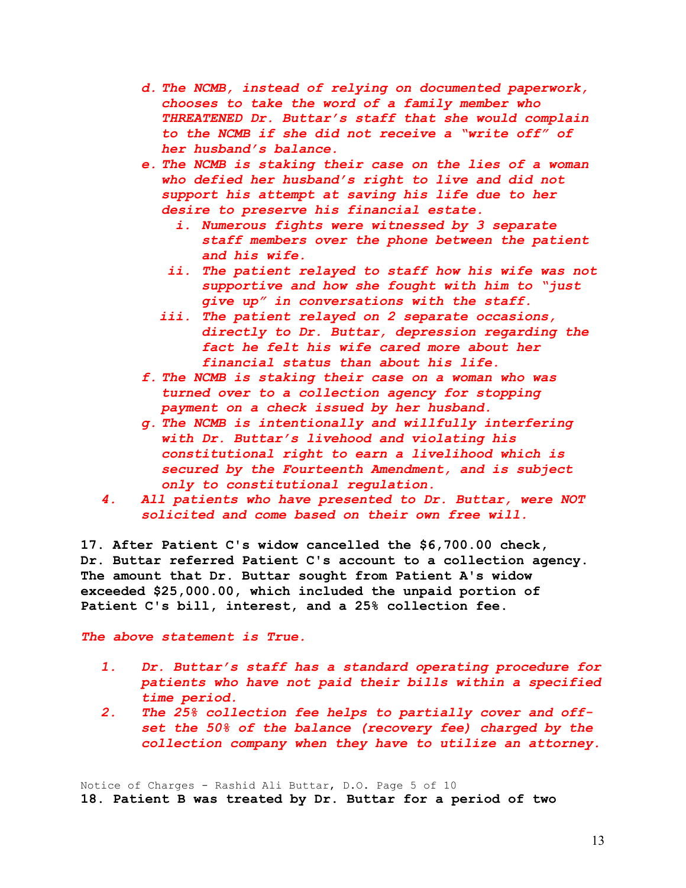- *d. The NCMB, instead of relying on documented paperwork, chooses to take the word of a family member who THREATENED Dr. Buttar's staff that she would complain to the NCMB if she did not receive a "write off" of her husband's balance.*
- *e. The NCMB is staking their case on the lies of a woman who defied her husband's right to live and did not support his attempt at saving his life due to her desire to preserve his financial estate.*
	- *i. Numerous fights were witnessed by 3 separate staff members over the phone between the patient and his wife.*
	- *ii. The patient relayed to staff how his wife was not supportive and how she fought with him to "just give up" in conversations with the staff.*
	- *iii. The patient relayed on 2 separate occasions, directly to Dr. Buttar, depression regarding the fact he felt his wife cared more about her financial status than about his life.*
- *f. The NCMB is staking their case on a woman who was turned over to a collection agency for stopping payment on a check issued by her husband.*
- *g. The NCMB is intentionally and willfully interfering with Dr. Buttar's livehood and violating his constitutional right to earn a livelihood which is secured by the Fourteenth Amendment, and is subject only to constitutional regulation.*
- *4. All patients who have presented to Dr. Buttar, were NOT solicited and come based on their own free will.*

**17. After Patient C's widow cancelled the \$6,700.00 check, Dr. Buttar referred Patient C's account to a collection agency. The amount that Dr. Buttar sought from Patient A's widow exceeded \$25,000.00, which included the unpaid portion of Patient C's bill, interest, and a 25% collection fee.**

*The above statement is True.*

- *1. Dr. Buttar's staff has a standard operating procedure for patients who have not paid their bills within a specified time period.*
- *2. The 25% collection fee helps to partially cover and offset the 50% of the balance (recovery fee) charged by the collection company when they have to utilize an attorney.*

Notice of Charges - Rashid Ali Buttar, D.O. Page 5 of 10 **18. Patient B was treated by Dr. Buttar for a period of two**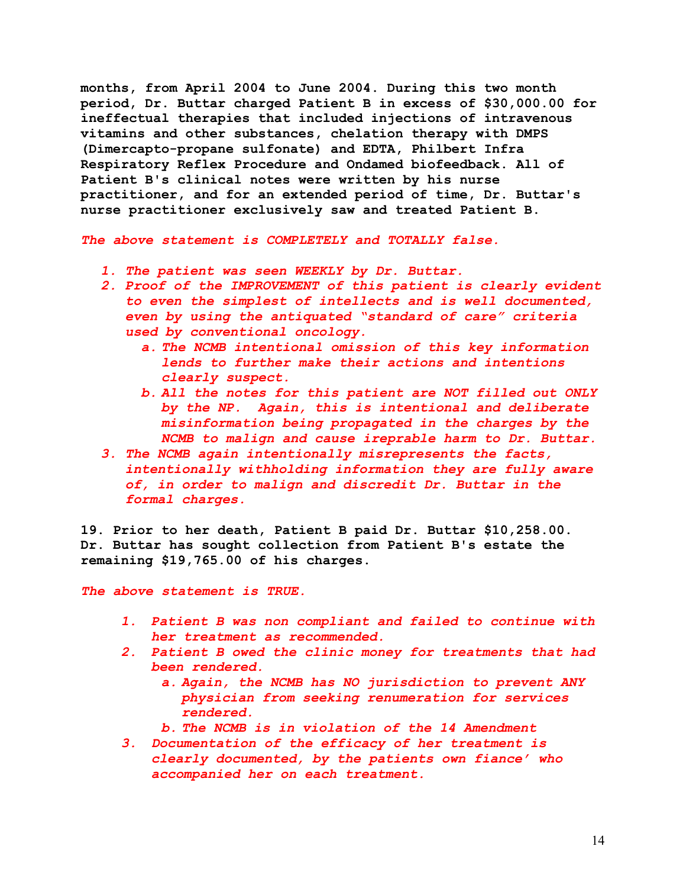**months, from April 2004 to June 2004. During this two month period, Dr. Buttar charged Patient B in excess of \$30,000.00 for ineffectual therapies that included injections of intravenous vitamins and other substances, chelation therapy with DMPS (Dimercapto-propane sulfonate) and EDTA, Philbert Infra Respiratory Reflex Procedure and Ondamed biofeedback. All of Patient B's clinical notes were written by his nurse practitioner, and for an extended period of time, Dr. Buttar's nurse practitioner exclusively saw and treated Patient B.**

*The above statement is COMPLETELY and TOTALLY false.*

- *1. The patient was seen WEEKLY by Dr. Buttar.*
- *2. Proof of the IMPROVEMENT of this patient is clearly evident to even the simplest of intellects and is well documented, even by using the antiquated "standard of care" criteria used by conventional oncology.* 
	- *a. The NCMB intentional omission of this key information lends to further make their actions and intentions clearly suspect.*
	- *b. All the notes for this patient are NOT filled out ONLY by the NP. Again, this is intentional and deliberate misinformation being propagated in the charges by the NCMB to malign and cause ireprable harm to Dr. Buttar.*
- *3. The NCMB again intentionally misrepresents the facts, intentionally withholding information they are fully aware of, in order to malign and discredit Dr. Buttar in the formal charges.*

**19. Prior to her death, Patient B paid Dr. Buttar \$10,258.00. Dr. Buttar has sought collection from Patient B's estate the remaining \$19,765.00 of his charges.**

*The above statement is TRUE.*

- *1. Patient B was non compliant and failed to continue with her treatment as recommended.*
- *2. Patient B owed the clinic money for treatments that had been rendered.*
	- *a. Again, the NCMB has NO jurisdiction to prevent ANY physician from seeking renumeration for services rendered.*
	- *b. The NCMB is in violation of the 14 Amendment*
- *3. Documentation of the efficacy of her treatment is clearly documented, by the patients own fiance' who accompanied her on each treatment.*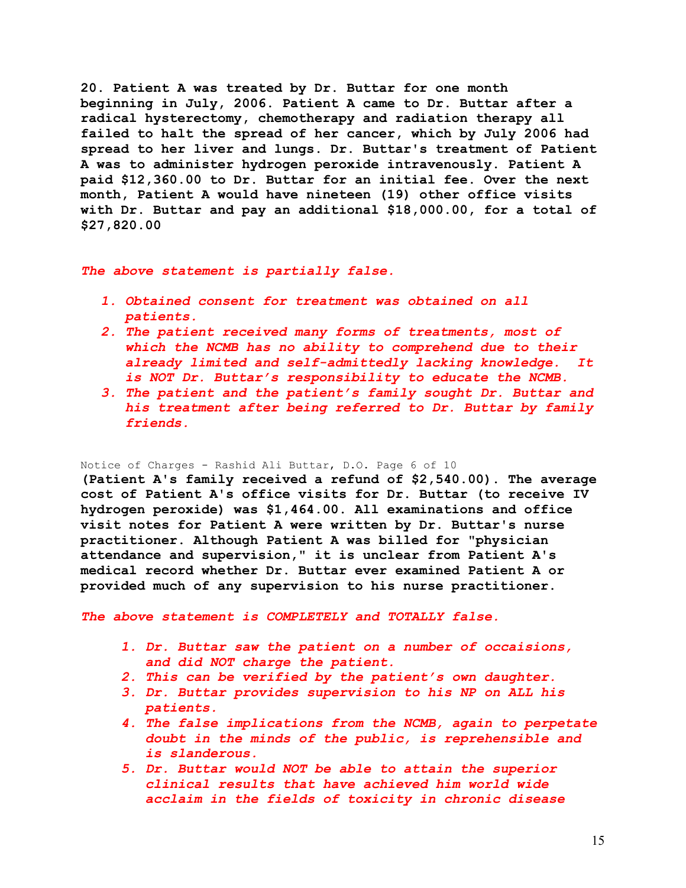**20. Patient A was treated by Dr. Buttar for one month beginning in July, 2006. Patient A came to Dr. Buttar after a radical hysterectomy, chemotherapy and radiation therapy all failed to halt the spread of her cancer, which by July 2006 had spread to her liver and lungs. Dr. Buttar's treatment of Patient A was to administer hydrogen peroxide intravenously. Patient A paid \$12,360.00 to Dr. Buttar for an initial fee. Over the next month, Patient A would have nineteen (19) other office visits with Dr. Buttar and pay an additional \$18,000.00, for a total of \$27,820.00**

# *The above statement is partially false.*

- *1. Obtained consent for treatment was obtained on all patients.*
- *2. The patient received many forms of treatments, most of which the NCMB has no ability to comprehend due to their already limited and self-admittedly lacking knowledge. It is NOT Dr. Buttar's responsibility to educate the NCMB.*
- *3. The patient and the patient's family sought Dr. Buttar and his treatment after being referred to Dr. Buttar by family friends.*

### Notice of Charges - Rashid Ali Buttar, D.O. Page 6 of 10

**(Patient A's family received a refund of \$2,540.00). The average cost of Patient A's office visits for Dr. Buttar (to receive IV hydrogen peroxide) was \$1,464.00. All examinations and office visit notes for Patient A were written by Dr. Buttar's nurse practitioner. Although Patient A was billed for "physician attendance and supervision," it is unclear from Patient A's medical record whether Dr. Buttar ever examined Patient A or provided much of any supervision to his nurse practitioner.**

- *1. Dr. Buttar saw the patient on a number of occaisions, and did NOT charge the patient.*
- *2. This can be verified by the patient's own daughter.*
- *3. Dr. Buttar provides supervision to his NP on ALL his patients.*
- *4. The false implications from the NCMB, again to perpetate doubt in the minds of the public, is reprehensible and is slanderous.*
- *5. Dr. Buttar would NOT be able to attain the superior clinical results that have achieved him world wide acclaim in the fields of toxicity in chronic disease*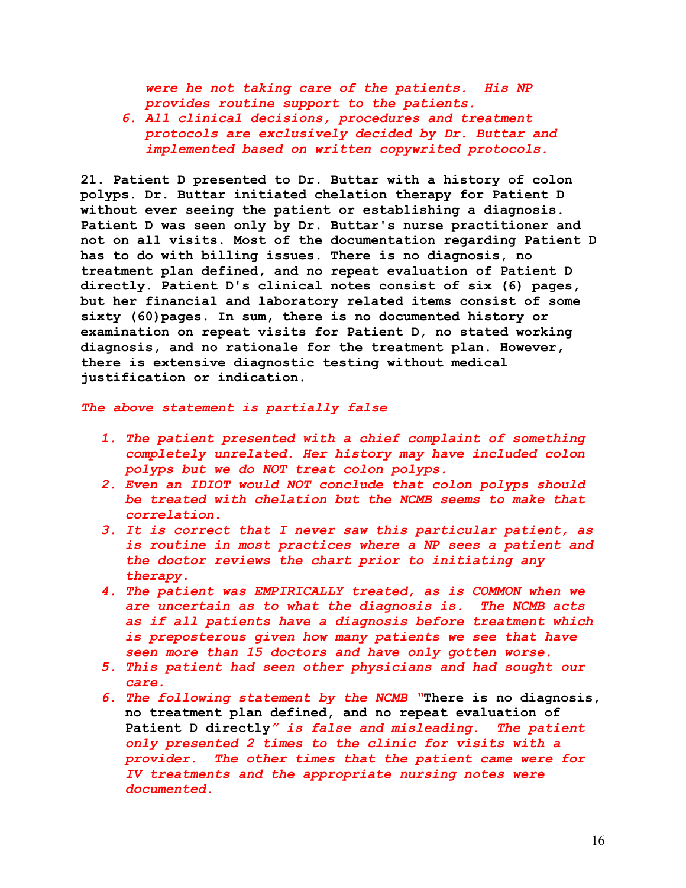*were he not taking care of the patients. His NP provides routine support to the patients.*

*6. All clinical decisions, procedures and treatment protocols are exclusively decided by Dr. Buttar and implemented based on written copywrited protocols.*

**21. Patient D presented to Dr. Buttar with a history of colon polyps. Dr. Buttar initiated chelation therapy for Patient D without ever seeing the patient or establishing a diagnosis. Patient D was seen only by Dr. Buttar's nurse practitioner and not on all visits. Most of the documentation regarding Patient D has to do with billing issues. There is no diagnosis, no treatment plan defined, and no repeat evaluation of Patient D directly. Patient D's clinical notes consist of six (6) pages, but her financial and laboratory related items consist of some sixty (60)pages. In sum, there is no documented history or examination on repeat visits for Patient D, no stated working diagnosis, and no rationale for the treatment plan. However, there is extensive diagnostic testing without medical justification or indication.**

## *The above statement is partially false*

- *1. The patient presented with a chief complaint of something completely unrelated. Her history may have included colon polyps but we do NOT treat colon polyps.*
- *2. Even an IDIOT would NOT conclude that colon polyps should be treated with chelation but the NCMB seems to make that correlation.*
- *3. It is correct that I never saw this particular patient, as is routine in most practices where a NP sees a patient and the doctor reviews the chart prior to initiating any therapy.*
- *4. The patient was EMPIRICALLY treated, as is COMMON when we are uncertain as to what the diagnosis is. The NCMB acts as if all patients have a diagnosis before treatment which is preposterous given how many patients we see that have seen more than 15 doctors and have only gotten worse.*
- *5. This patient had seen other physicians and had sought our care.*
- *6. The following statement by the NCMB "***There is no diagnosis, no treatment plan defined, and no repeat evaluation of Patient D directly***" is false and misleading. The patient only presented 2 times to the clinic for visits with a provider. The other times that the patient came were for IV treatments and the appropriate nursing notes were documented.*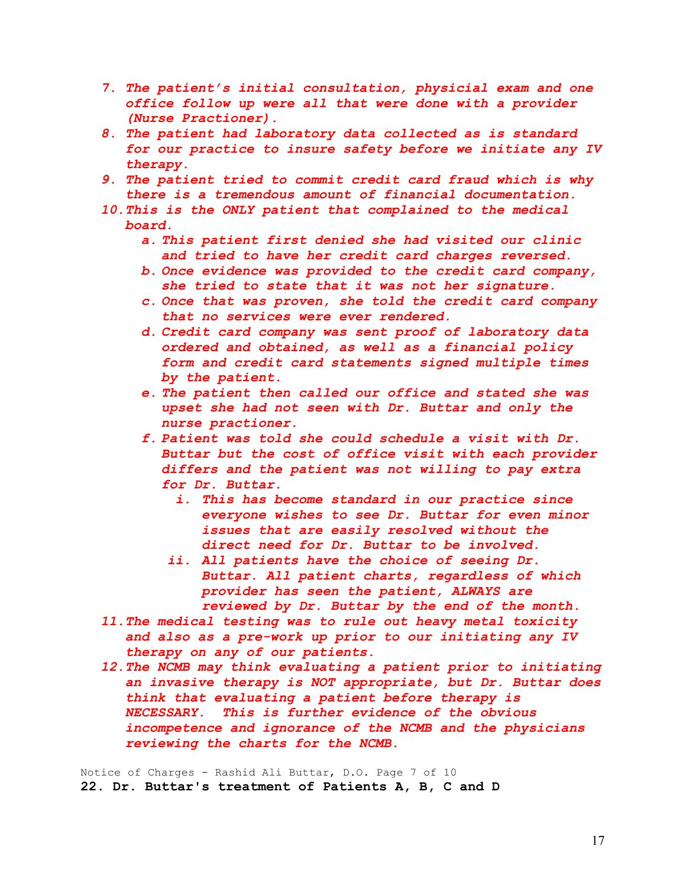- *7. The patient's initial consultation, physicial exam and one office follow up were all that were done with a provider (Nurse Practioner).*
- *8. The patient had laboratory data collected as is standard for our practice to insure safety before we initiate any IV therapy.*
- *9. The patient tried to commit credit card fraud which is why there is a tremendous amount of financial documentation.*
- *10.This is the ONLY patient that complained to the medical board.* 
	- *a. This patient first denied she had visited our clinic and tried to have her credit card charges reversed.*
	- *b. Once evidence was provided to the credit card company, she tried to state that it was not her signature.*
	- *c. Once that was proven, she told the credit card company that no services were ever rendered.*
	- *d. Credit card company was sent proof of laboratory data ordered and obtained, as well as a financial policy form and credit card statements signed multiple times by the patient.*
	- *e. The patient then called our office and stated she was upset she had not seen with Dr. Buttar and only the nurse practioner.*
	- *f. Patient was told she could schedule a visit with Dr. Buttar but the cost of office visit with each provider differs and the patient was not willing to pay extra for Dr. Buttar.*
		- *i. This has become standard in our practice since everyone wishes to see Dr. Buttar for even minor issues that are easily resolved without the direct need for Dr. Buttar to be involved.*
		- *ii. All patients have the choice of seeing Dr. Buttar. All patient charts, regardless of which provider has seen the patient, ALWAYS are reviewed by Dr. Buttar by the end of the month.*
- *11.The medical testing was to rule out heavy metal toxicity and also as a pre-work up prior to our initiating any IV therapy on any of our patients.*
- *12.The NCMB may think evaluating a patient prior to initiating an invasive therapy is NOT appropriate, but Dr. Buttar does think that evaluating a patient before therapy is NECESSARY. This is further evidence of the obvious incompetence and ignorance of the NCMB and the physicians reviewing the charts for the NCMB.*

Notice of Charges - Rashid Ali Buttar, D.O. Page 7 of 10 **22. Dr. Buttar's treatment of Patients A, B, C and D**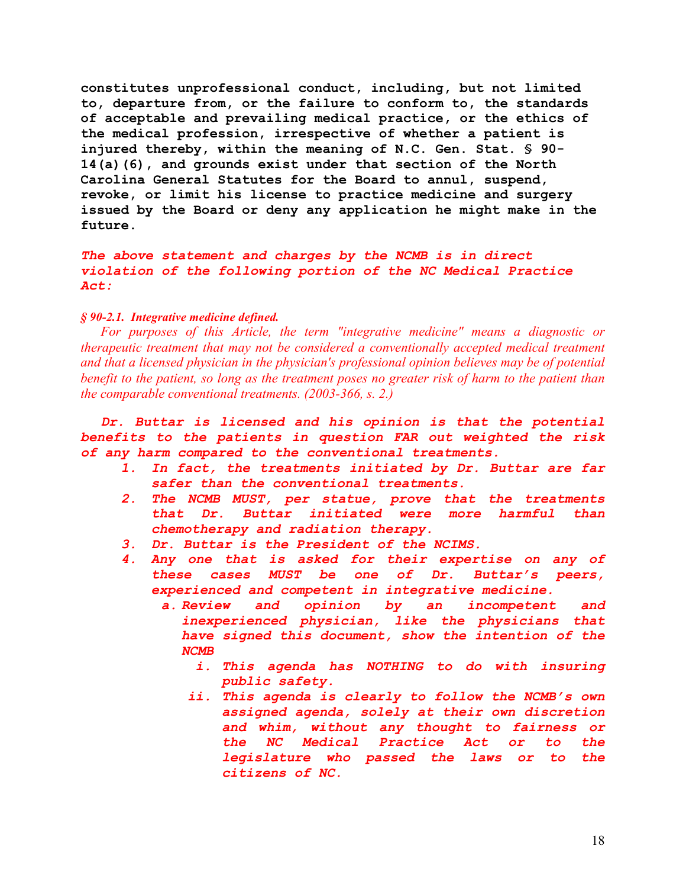**constitutes unprofessional conduct, including, but not limited to, departure from, or the failure to conform to, the standards of acceptable and prevailing medical practice, or the ethics of the medical profession, irrespective of whether a patient is injured thereby, within the meaning of N.C. Gen. Stat. § 90- 14(a)(6), and grounds exist under that section of the North Carolina General Statutes for the Board to annul, suspend, revoke, or limit his license to practice medicine and surgery issued by the Board or deny any application he might make in the future.**

*The above statement and charges by the NCMB is in direct violation of the following portion of the NC Medical Practice Act:*

# *§ 90-2.1. Integrative medicine defined.*

*For purposes of this Article, the term "integrative medicine" means a diagnostic or therapeutic treatment that may not be considered a conventionally accepted medical treatment and that a licensed physician in the physician's professional opinion believes may be of potential benefit to the patient, so long as the treatment poses no greater risk of harm to the patient than the comparable conventional treatments. (2003-366, s. 2.)*

*Dr. Buttar is licensed and his opinion is that the potential benefits to the patients in question FAR out weighted the risk of any harm compared to the conventional treatments.* 

- *1. In fact, the treatments initiated by Dr. Buttar are far safer than the conventional treatments.*
- *2. The NCMB MUST, per statue, prove that the treatments that Dr. Buttar initiated were more harmful than chemotherapy and radiation therapy.*
- *3. Dr. Buttar is the President of the NCIMS.*
- *4. Any one that is asked for their expertise on any of these cases MUST be one of Dr. Buttar's peers, experienced and competent in integrative medicine.*
	- *a. Review and opinion by an incompetent and inexperienced physician, like the physicians that have signed this document, show the intention of the NCMB*
		- *i. This agenda has NOTHING to do with insuring public safety.*
		- *ii. This agenda is clearly to follow the NCMB's own assigned agenda, solely at their own discretion and whim, without any thought to fairness or the NC Medical Practice Act or to the legislature who passed the laws or to the citizens of NC.*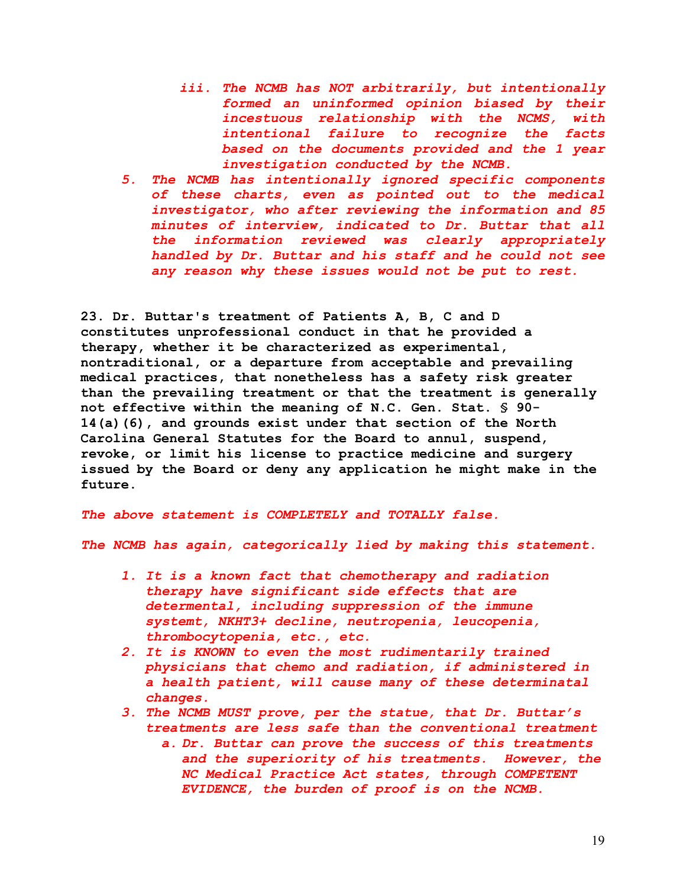- *iii. The NCMB has NOT arbitrarily, but intentionally formed an uninformed opinion biased by their incestuous relationship with the NCMS, with intentional failure to recognize the facts based on the documents provided and the 1 year investigation conducted by the NCMB.*
- *5. The NCMB has intentionally ignored specific components of these charts, even as pointed out to the medical investigator, who after reviewing the information and 85 minutes of interview, indicated to Dr. Buttar that all the information reviewed was clearly appropriately handled by Dr. Buttar and his staff and he could not see any reason why these issues would not be put to rest.*

**23. Dr. Buttar's treatment of Patients A, B, C and D constitutes unprofessional conduct in that he provided a therapy, whether it be characterized as experimental, nontraditional, or a departure from acceptable and prevailing medical practices, that nonetheless has a safety risk greater than the prevailing treatment or that the treatment is generally not effective within the meaning of N.C. Gen. Stat. § 90- 14(a)(6), and grounds exist under that section of the North Carolina General Statutes for the Board to annul, suspend, revoke, or limit his license to practice medicine and surgery issued by the Board or deny any application he might make in the future.**

*The above statement is COMPLETELY and TOTALLY false.*

*The NCMB has again, categorically lied by making this statement.* 

- *1. It is a known fact that chemotherapy and radiation therapy have significant side effects that are determental, including suppression of the immune systemt, NKHT3+ decline, neutropenia, leucopenia, thrombocytopenia, etc., etc.*
- *2. It is KNOWN to even the most rudimentarily trained physicians that chemo and radiation, if administered in a health patient, will cause many of these determinatal changes.*
- *3. The NCMB MUST prove, per the statue, that Dr. Buttar's treatments are less safe than the conventional treatment*
	- *a. Dr. Buttar can prove the success of this treatments and the superiority of his treatments. However, the NC Medical Practice Act states, through COMPETENT EVIDENCE, the burden of proof is on the NCMB.*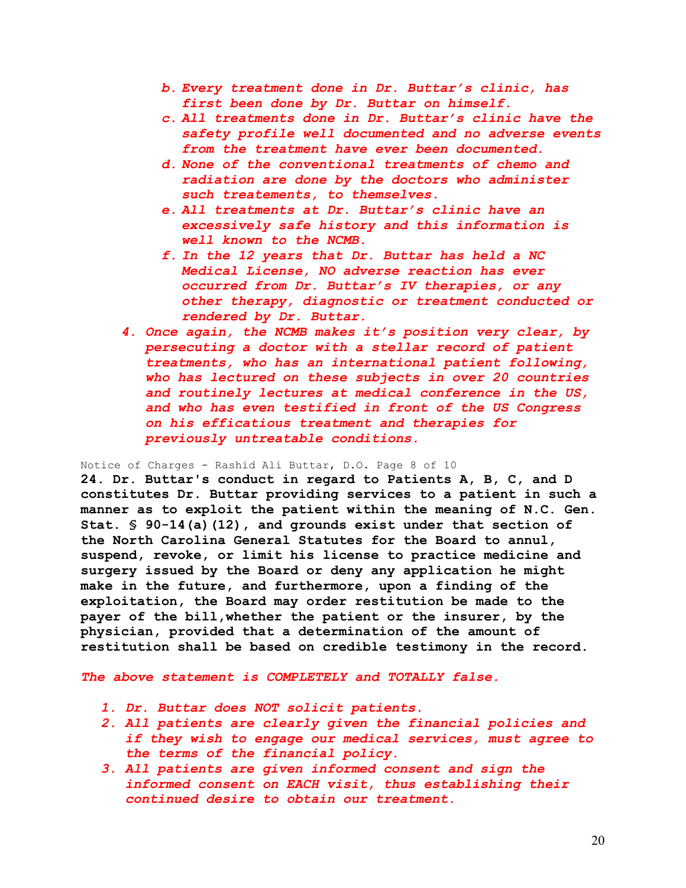- *b. Every treatment done in Dr. Buttar's clinic, has first been done by Dr. Buttar on himself.*
- *c. All treatments done in Dr. Buttar's clinic have the safety profile well documented and no adverse events from the treatment have ever been documented.*
- *d. None of the conventional treatments of chemo and radiation are done by the doctors who administer such treatements, to themselves.*
- *e. All treatments at Dr. Buttar's clinic have an excessively safe history and this information is well known to the NCMB.*
- *f. In the 12 years that Dr. Buttar has held a NC Medical License, NO adverse reaction has ever occurred from Dr. Buttar's IV therapies, or any other therapy, diagnostic or treatment conducted or rendered by Dr. Buttar.*
- *4. Once again, the NCMB makes it's position very clear, by persecuting a doctor with a stellar record of patient treatments, who has an international patient following, who has lectured on these subjects in over 20 countries and routinely lectures at medical conference in the US, and who has even testified in front of the US Congress on his efficatious treatment and therapies for previously untreatable conditions.*

Notice of Charges - Rashid Ali Buttar, D.O. Page 8 of 10

**24. Dr. Buttar's conduct in regard to Patients A, B, C, and D constitutes Dr. Buttar providing services to a patient in such a manner as to exploit the patient within the meaning of N.C. Gen. Stat. § 90-14(a)(12), and grounds exist under that section of the North Carolina General Statutes for the Board to annul, suspend, revoke, or limit his license to practice medicine and surgery issued by the Board or deny any application he might make in the future, and furthermore, upon a finding of the exploitation, the Board may order restitution be made to the payer of the bill,whether the patient or the insurer, by the physician, provided that a determination of the amount of restitution shall be based on credible testimony in the record.**

- *1. Dr. Buttar does NOT solicit patients.*
- *2. All patients are clearly given the financial policies and if they wish to engage our medical services, must agree to the terms of the financial policy.*
- *3. All patients are given informed consent and sign the informed consent on EACH visit, thus establishing their continued desire to obtain our treatment.*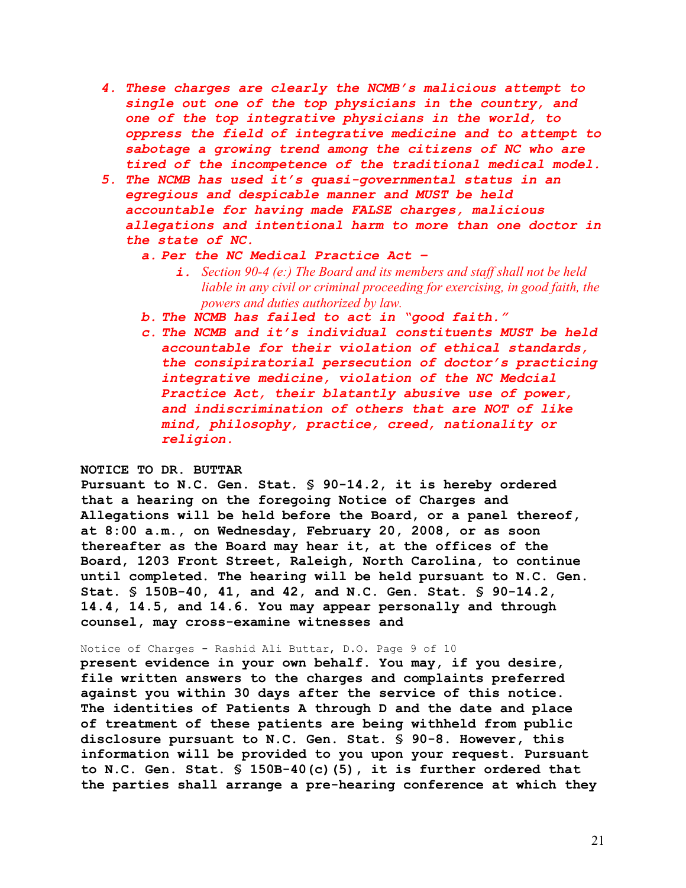- *4. These charges are clearly the NCMB's malicious attempt to single out one of the top physicians in the country, and one of the top integrative physicians in the world, to oppress the field of integrative medicine and to attempt to sabotage a growing trend among the citizens of NC who are tired of the incompetence of the traditional medical model.*
- *5. The NCMB has used it's quasi-governmental status in an egregious and despicable manner and MUST be held accountable for having made FALSE charges, malicious allegations and intentional harm to more than one doctor in the state of NC.* 
	- *a. Per the NC Medical Practice Act –*
		- *i. Section 90-4 (e:) The Board and its members and staff shall not be held liable in any civil or criminal proceeding for exercising, in good faith, the powers and duties authorized by law.*
	- *b. The NCMB has failed to act in "good faith."*
	- *c. The NCMB and it's individual constituents MUST be held accountable for their violation of ethical standards, the consipiratorial persecution of doctor's practicing integrative medicine, violation of the NC Medcial Practice Act, their blatantly abusive use of power, and indiscrimination of others that are NOT of like mind, philosophy, practice, creed, nationality or religion.*

# **NOTICE TO DR. BUTTAR**

**Pursuant to N.C. Gen. Stat. § 90-14.2, it is hereby ordered that a hearing on the foregoing Notice of Charges and Allegations will be held before the Board, or a panel thereof, at 8:00 a.m., on Wednesday, February 20, 2008, or as soon thereafter as the Board may hear it, at the offices of the Board, 1203 Front Street, Raleigh, North Carolina, to continue until completed. The hearing will be held pursuant to N.C. Gen. Stat. § 150B-40, 41, and 42, and N.C. Gen. Stat. § 90-14.2, 14.4, 14.5, and 14.6. You may appear personally and through counsel, may cross-examine witnesses and**

### Notice of Charges - Rashid Ali Buttar, D.O. Page 9 of 10

**present evidence in your own behalf. You may, if you desire, file written answers to the charges and complaints preferred against you within 30 days after the service of this notice. The identities of Patients A through D and the date and place of treatment of these patients are being withheld from public disclosure pursuant to N.C. Gen. Stat. § 90-8. However, this information will be provided to you upon your request. Pursuant to N.C. Gen. Stat. § 150B-40(c)(5), it is further ordered that the parties shall arrange a pre-hearing conference at which they**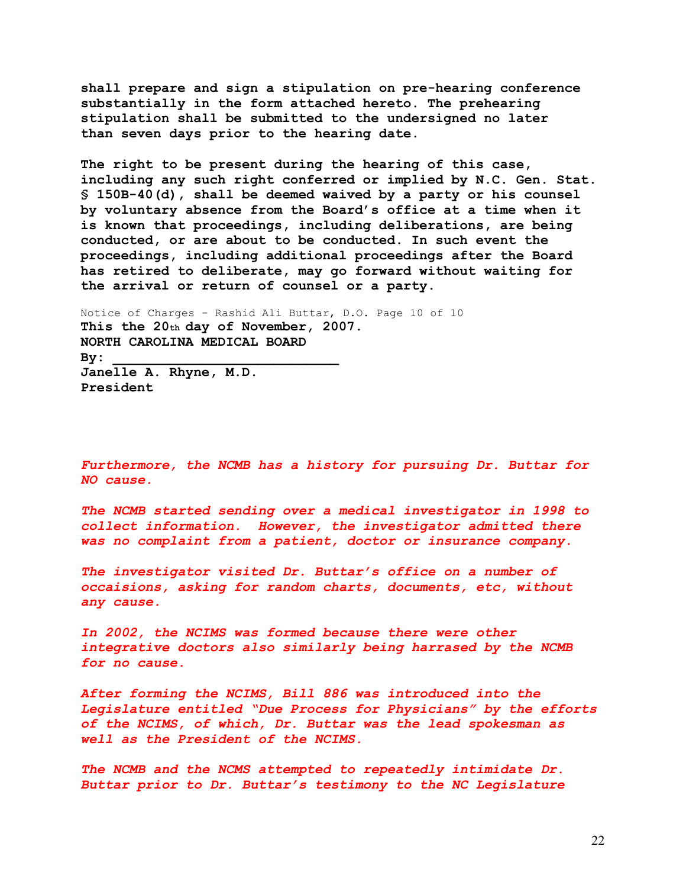**shall prepare and sign a stipulation on pre-hearing conference substantially in the form attached hereto. The prehearing stipulation shall be submitted to the undersigned no later than seven days prior to the hearing date.**

**The right to be present during the hearing of this case, including any such right conferred or implied by N.C. Gen. Stat. § 150B-40(d), shall be deemed waived by a party or his counsel by voluntary absence from the Board's office at a time when it is known that proceedings, including deliberations, are being conducted, or are about to be conducted. In such event the proceedings, including additional proceedings after the Board has retired to deliberate, may go forward without waiting for the arrival or return of counsel or a party.**

Notice of Charges - Rashid Ali Buttar, D.O. Page 10 of 10 **This the 20th day of November, 2007. NORTH CAROLINA MEDICAL BOARD By: \_\_\_\_\_\_\_\_\_\_\_\_\_\_\_\_\_\_\_\_\_\_\_\_\_\_\_\_ Janelle A. Rhyne, M.D. President**

*Furthermore, the NCMB has a history for pursuing Dr. Buttar for NO cause.*

*The NCMB started sending over a medical investigator in 1998 to collect information. However, the investigator admitted there was no complaint from a patient, doctor or insurance company.*

*The investigator visited Dr. Buttar's office on a number of occaisions, asking for random charts, documents, etc, without any cause.*

*In 2002, the NCIMS was formed because there were other integrative doctors also similarly being harrased by the NCMB for no cause.*

*After forming the NCIMS, Bill 886 was introduced into the Legislature entitled "Due Process for Physicians" by the efforts of the NCIMS, of which, Dr. Buttar was the lead spokesman as well as the President of the NCIMS.*

*The NCMB and the NCMS attempted to repeatedly intimidate Dr. Buttar prior to Dr. Buttar's testimony to the NC Legislature*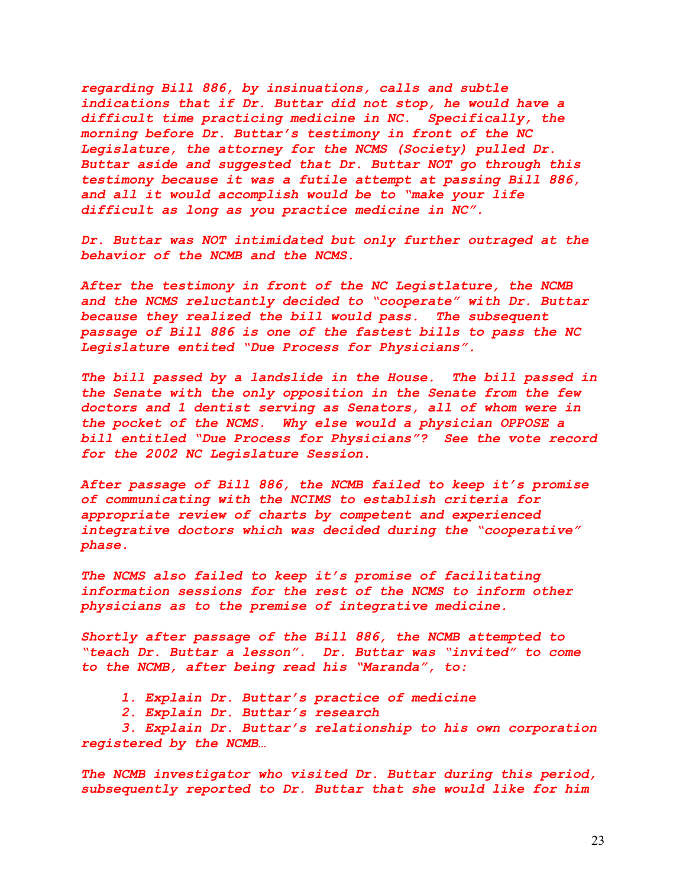*regarding Bill 886, by insinuations, calls and subtle indications that if Dr. Buttar did not stop, he would have a difficult time practicing medicine in NC. Specifically, the morning before Dr. Buttar's testimony in front of the NC Legislature, the attorney for the NCMS (Society) pulled Dr. Buttar aside and suggested that Dr. Buttar NOT go through this testimony because it was a futile attempt at passing Bill 886, and all it would accomplish would be to "make your life difficult as long as you practice medicine in NC".*

*Dr. Buttar was NOT intimidated but only further outraged at the behavior of the NCMB and the NCMS.*

*After the testimony in front of the NC Legistlature, the NCMB and the NCMS reluctantly decided to "cooperate" with Dr. Buttar because they realized the bill would pass. The subsequent passage of Bill 886 is one of the fastest bills to pass the NC Legislature entited "Due Process for Physicians".* 

*The bill passed by a landslide in the House. The bill passed in the Senate with the only opposition in the Senate from the few doctors and 1 dentist serving as Senators, all of whom were in the pocket of the NCMS. Why else would a physician OPPOSE a bill entitled "Due Process for Physicians"? See the vote record for the 2002 NC Legislature Session.*

*After passage of Bill 886, the NCMB failed to keep it's promise of communicating with the NCIMS to establish criteria for appropriate review of charts by competent and experienced integrative doctors which was decided during the "cooperative" phase.*

*The NCMS also failed to keep it's promise of facilitating information sessions for the rest of the NCMS to inform other physicians as to the premise of integrative medicine.*

*Shortly after passage of the Bill 886, the NCMB attempted to "teach Dr. Buttar a lesson". Dr. Buttar was "invited" to come to the NCMB, after being read his "Maranda", to:*

- *1. Explain Dr. Buttar's practice of medicine*
- *2. Explain Dr. Buttar's research*

*3. Explain Dr. Buttar's relationship to his own corporation registered by the NCMB…*

*The NCMB investigator who visited Dr. Buttar during this period, subsequently reported to Dr. Buttar that she would like for him*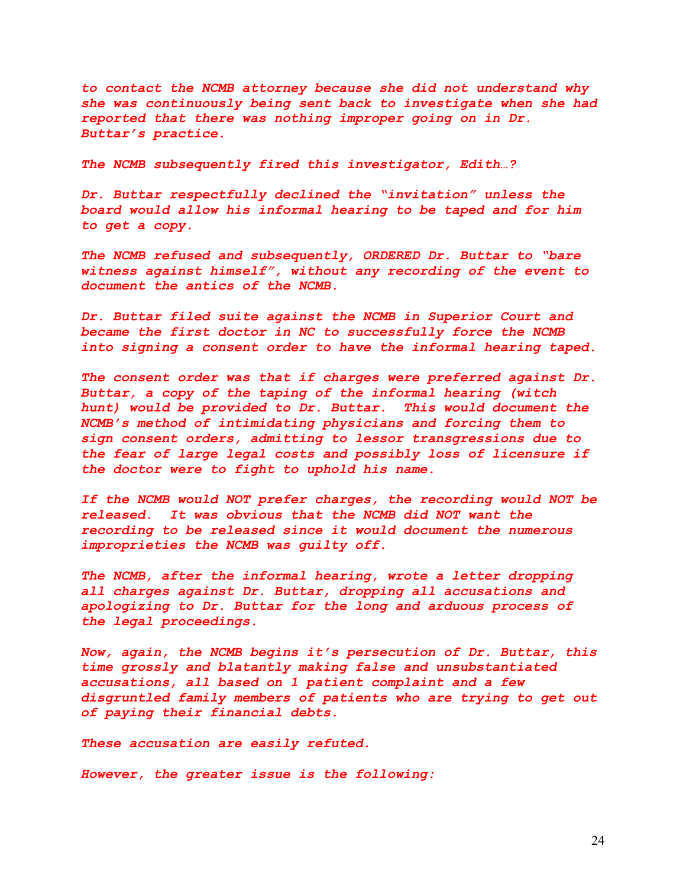*to contact the NCMB attorney because she did not understand why she was continuously being sent back to investigate when she had reported that there was nothing improper going on in Dr. Buttar's practice.*

*The NCMB subsequently fired this investigator, Edith…?*

*Dr. Buttar respectfully declined the "invitation" unless the board would allow his informal hearing to be taped and for him to get a copy.* 

*The NCMB refused and subsequently, ORDERED Dr. Buttar to "bare witness against himself", without any recording of the event to document the antics of the NCMB.*

*Dr. Buttar filed suite against the NCMB in Superior Court and became the first doctor in NC to successfully force the NCMB into signing a consent order to have the informal hearing taped.*

*The consent order was that if charges were preferred against Dr. Buttar, a copy of the taping of the informal hearing (witch hunt) would be provided to Dr. Buttar. This would document the NCMB's method of intimidating physicians and forcing them to sign consent orders, admitting to lessor transgressions due to the fear of large legal costs and possibly loss of licensure if the doctor were to fight to uphold his name.*

*If the NCMB would NOT prefer charges, the recording would NOT be released. It was obvious that the NCMB did NOT want the recording to be released since it would document the numerous improprieties the NCMB was guilty off.*

*The NCMB, after the informal hearing, wrote a letter dropping all charges against Dr. Buttar, dropping all accusations and apologizing to Dr. Buttar for the long and arduous process of the legal proceedings.*

*Now, again, the NCMB begins it's persecution of Dr. Buttar, this time grossly and blatantly making false and unsubstantiated accusations, all based on 1 patient complaint and a few disgruntled family members of patients who are trying to get out of paying their financial debts.*

*These accusation are easily refuted.*

*However, the greater issue is the following:*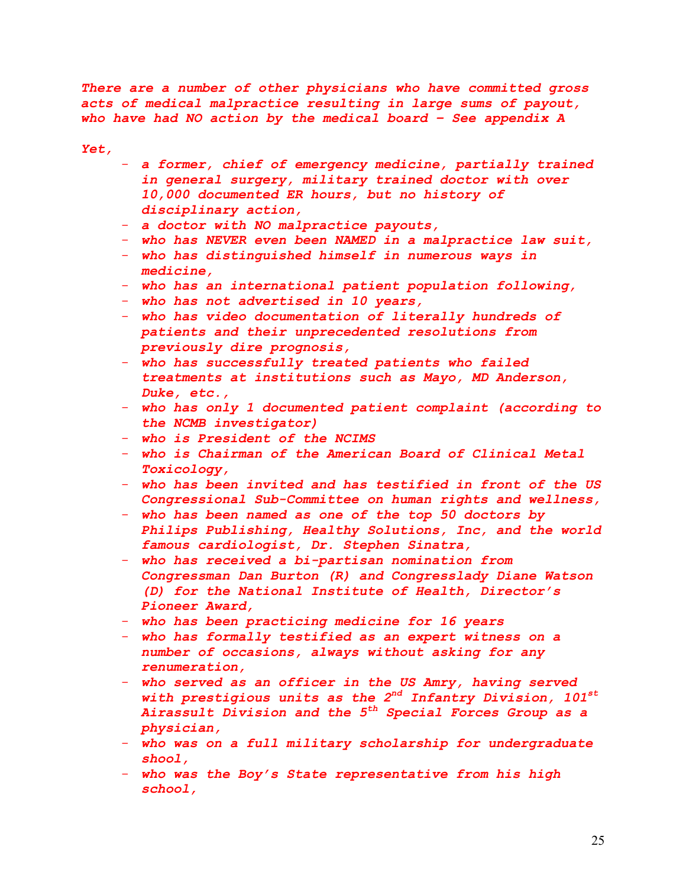*There are a number of other physicians who have committed gross acts of medical malpractice resulting in large sums of payout, who have had NO action by the medical board – See appendix A*

*Yet,* 

- *a former, chief of emergency medicine, partially trained in general surgery, military trained doctor with over 10,000 documented ER hours, but no history of disciplinary action,*
- *a doctor with NO malpractice payouts,*
- *who has NEVER even been NAMED in a malpractice law suit,*
- *who has distinguished himself in numerous ways in medicine,*
- *who has an international patient population following,*
- *who has not advertised in 10 years,*
- *who has video documentation of literally hundreds of patients and their unprecedented resolutions from previously dire prognosis,*
- *who has successfully treated patients who failed treatments at institutions such as Mayo, MD Anderson, Duke, etc.,*
- *who has only 1 documented patient complaint (according to the NCMB investigator)*
- *who is President of the NCIMS*
- *who is Chairman of the American Board of Clinical Metal Toxicology,*
- *who has been invited and has testified in front of the US Congressional Sub-Committee on human rights and wellness,*
- *who has been named as one of the top 50 doctors by Philips Publishing, Healthy Solutions, Inc, and the world famous cardiologist, Dr. Stephen Sinatra,*
- *who has received a bi-partisan nomination from Congressman Dan Burton (R) and Congresslady Diane Watson (D) for the National Institute of Health, Director's Pioneer Award,*
- *who has been practicing medicine for 16 years*
- *who has formally testified as an expert witness on a number of occasions, always without asking for any renumeration,*
- *who served as an officer in the US Amry, having served with prestigious units as the 2nd Infantry Division, 101st Airassult Division and the 5th Special Forces Group as a physician,*
- *who was on a full military scholarship for undergraduate shool,*
- *who was the Boy's State representative from his high school,*